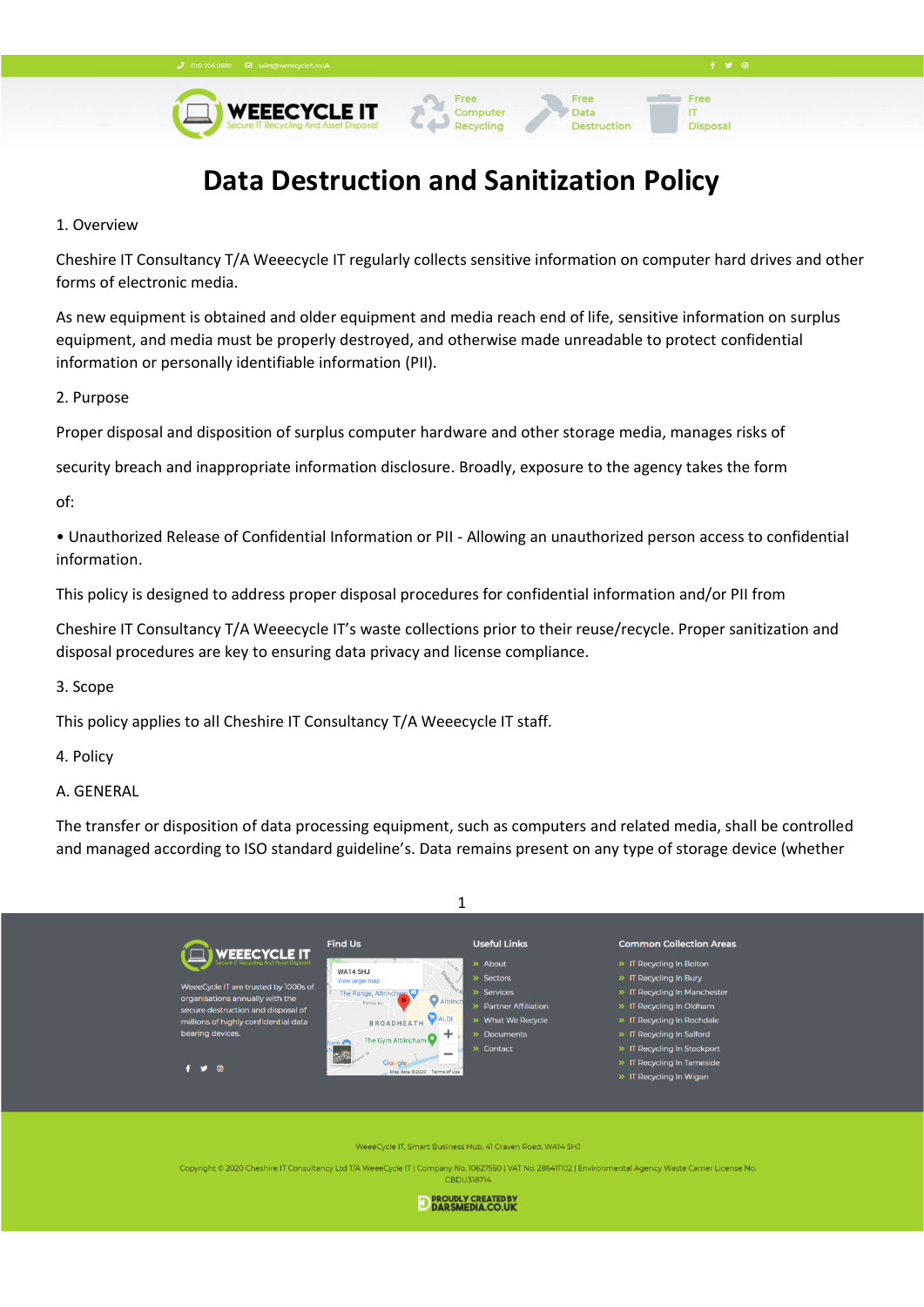**WEEECYCLE IT** 



Free

**Disposal** 

**IT** 

Free

Data

Destruction



Computer

Recycling

1. Overview

Cheshire IT Consultancy T/A Weeecycle IT regularly collects sensitive information on computer hard drives and other forms of electronic media.

As new equipment is obtained and older equipment and media reach end of life, sensitive information on surplus equipment, and media must be properly destroyed, and otherwise made unreadable to protect confidential information or personally identifiable information (PII).

2. Purpose

Proper disposal and disposition of surplus computer hardware and other storage media, manages risks of

security breach and inappropriate information disclosure. Broadly, exposure to the agency takes the form

of:

• Unauthorized Release of Confidential Information or PII - Allowing an unauthorized person access to confidential information.

This policy is designed to address proper disposal procedures for confidential information and/or PII from

Cheshire IT Consultancy T/A Weeecycle IT's waste collections prior to their reuse/recycle. Proper sanitization and disposal procedures are key to ensuring data privacy and license compliance.

3. Scope

This policy applies to all Cheshire IT Consultancy T/A Weeecycle IT staff.

4. Policy

A. GENERAL

The transfer or disposition of data processing equipment, such as computers and related media, shall be controlled and managed according to ISO standard guideline's. Data remains present on any type of storage device (whether



eCycle IT, Smart Business Hub, 41 Craven Road, WA14 5HJ

Copyright © 2020 Cheshire IT Consultancy Ltd T/A WeeeCycle IT | Company No. 10627550 | VAT No. 286411102 | Envi nmental Agency Waste Carrier License No

**CBDU318714** 

**D PROUDLY CREATED BY**<br>**D DARSMEDIA.CO.UK**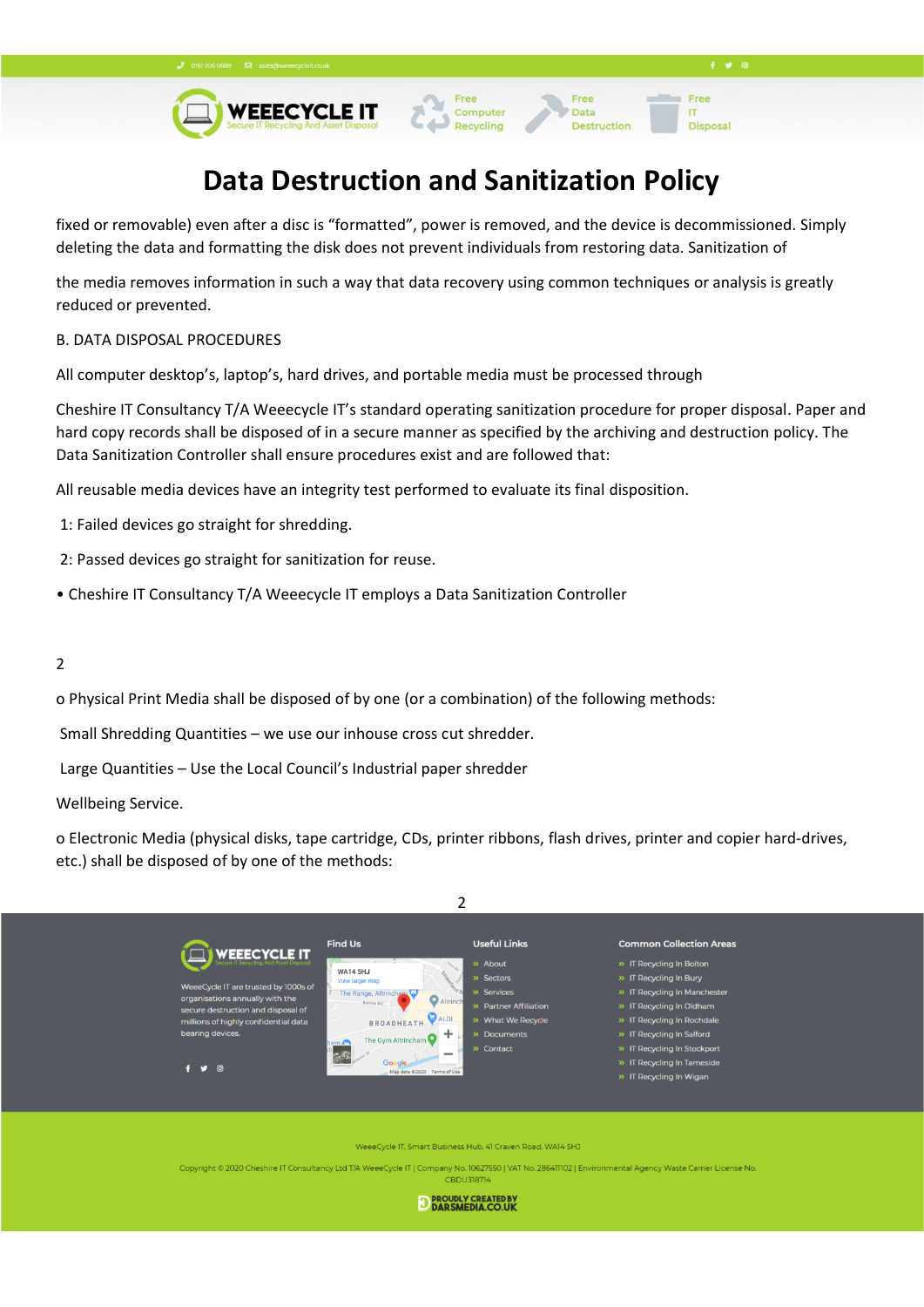# Data

Destruction

Free

**Disposal** 

**IT** 



## **Data Destruction and Sanitization Policy**

fixed or removable) even after a disc is "formatted", power is removed, and the device is decommissioned. Simply deleting the data and formatting the disk does not prevent individuals from restoring data. Sanitization of

the media removes information in such a way that data recovery using common techniques or analysis is greatly reduced or prevented.

#### B. DATA DISPOSAL PROCEDURES

All computer desktop's, laptop's, hard drives, and portable media must be processed through

Cheshire IT Consultancy T/A Weeecycle IT's standard operating sanitization procedure for proper disposal. Paper and hard copy records shall be disposed of in a secure manner as specified by the archiving and destruction policy. The Data Sanitization Controller shall ensure procedures exist and are followed that:

All reusable media devices have an integrity test performed to evaluate its final disposition.

- 1: Failed devices go straight for shredding.
- 2: Passed devices go straight for sanitization for reuse.
- Cheshire IT Consultancy T/A Weeecycle IT employs a Data Sanitization Controller

#### 2

o Physical Print Media shall be disposed of by one (or a combination) of the following methods:

Small Shredding Quantities – we use our inhouse cross cut shredder.

Large Quantities – Use the Local Council's Industrial paper shredder

Wellbeing Service.

o Electronic Media (physical disks, tape cartridge, CDs, printer ribbons, flash drives, printer and copier hard-drives, etc.) shall be disposed of by one of the methods:



eCycle IT, Smart Business Hub, 41 Craven Road, WA14 5HJ

Copyright © 2020 Cheshire IT Consultancy Ltd T/A WeeeCycle IT | Company No. 10627550 | VAT No. 286411102 | Environmental Agency Waste Carrier License No.

**CBDU318714** 

D PROUDLY CREATED BY DARSMEDIA.CO.UK